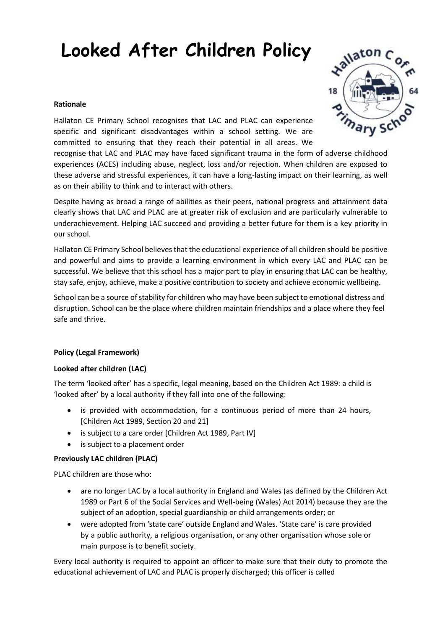# **Looked After Children Policy**

#### **Rationale**

Hallaton CE Primary School recognises that LAC and PLAC can experience specific and significant disadvantages within a school setting. We are committed to ensuring that they reach their potential in all areas. We

recognise that LAC and PLAC may have faced significant trauma in the form of adverse childhood experiences (ACES) including abuse, neglect, loss and/or rejection. When children are exposed to these adverse and stressful experiences, it can have a long-lasting impact on their learning, as well as on their ability to think and to interact with others.

Despite having as broad a range of abilities as their peers, national progress and attainment data clearly shows that LAC and PLAC are at greater risk of exclusion and are particularly vulnerable to underachievement. Helping LAC succeed and providing a better future for them is a key priority in our school.

Hallaton CE Primary School believes that the educational experience of all children should be positive and powerful and aims to provide a learning environment in which every LAC and PLAC can be successful. We believe that this school has a major part to play in ensuring that LAC can be healthy, stay safe, enjoy, achieve, make a positive contribution to society and achieve economic wellbeing.

School can be a source of stability for children who may have been subject to emotional distress and disruption. School can be the place where children maintain friendships and a place where they feel safe and thrive.

#### **Policy (Legal Framework)**

#### **Looked after children (LAC)**

The term 'looked after' has a specific, legal meaning, based on the Children Act 1989: a child is 'looked after' by a local authority if they fall into one of the following:

- is provided with accommodation, for a continuous period of more than 24 hours, [Children Act 1989, Section 20 and 21]
- is subject to a care order [Children Act 1989, Part IV]
- is subject to a placement order

#### **Previously LAC children (PLAC)**

PLAC children are those who:

- are no longer LAC by a local authority in England and Wales (as defined by the Children Act 1989 or Part 6 of the Social Services and Well-being (Wales) Act 2014) because they are the subject of an adoption, special guardianship or child arrangements order; or
- were adopted from 'state care' outside England and Wales. 'State care' is care provided by a public authority, a religious organisation, or any other organisation whose sole or main purpose is to benefit society.

Every local authority is required to appoint an officer to make sure that their duty to promote the educational achievement of LAC and PLAC is properly discharged; this officer is called

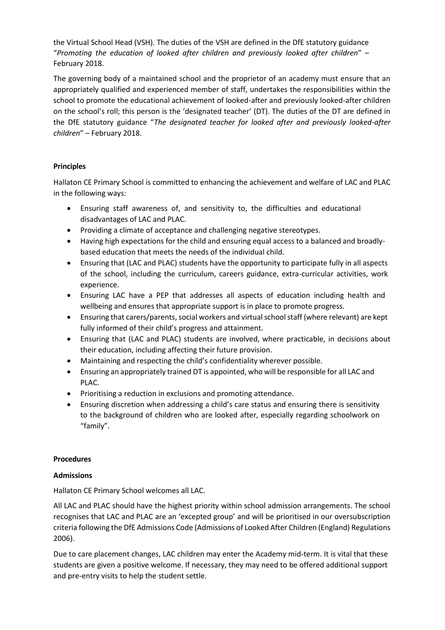the Virtual School Head (VSH). The duties of the VSH are defined in the DfE statutory guidance "*Promoting the education of looked after children and previously looked after children*" – February 2018.

The governing body of a maintained school and the proprietor of an academy must ensure that an appropriately qualified and experienced member of staff, undertakes the responsibilities within the school to promote the educational achievement of looked-after and previously looked-after children on the school's roll; this person is the 'designated teacher' (DT). The duties of the DT are defined in the DfE statutory guidance "*The designated teacher for looked after and previously looked-after children*" – February 2018.

# **Principles**

Hallaton CE Primary School is committed to enhancing the achievement and welfare of LAC and PLAC in the following ways:

- Ensuring staff awareness of, and sensitivity to, the difficulties and educational disadvantages of LAC and PLAC.
- Providing a climate of acceptance and challenging negative stereotypes.
- Having high expectations for the child and ensuring equal access to a balanced and broadlybased education that meets the needs of the individual child.
- Ensuring that (LAC and PLAC) students have the opportunity to participate fully in all aspects of the school, including the curriculum, careers guidance, extra-curricular activities, work experience.
- Ensuring LAC have a PEP that addresses all aspects of education including health and wellbeing and ensures that appropriate support is in place to promote progress.
- Ensuring that carers/parents, social workers and virtual school staff (where relevant) are kept fully informed of their child's progress and attainment.
- Ensuring that (LAC and PLAC) students are involved, where practicable, in decisions about their education, including affecting their future provision.
- Maintaining and respecting the child's confidentiality wherever possible.
- Ensuring an appropriately trained DT is appointed, who will be responsible for all LAC and PLAC.
- Prioritising a reduction in exclusions and promoting attendance.
- Ensuring discretion when addressing a child's care status and ensuring there is sensitivity to the background of children who are looked after, especially regarding schoolwork on "family".

#### **Procedures**

# **Admissions**

Hallaton CE Primary School welcomes all LAC.

All LAC and PLAC should have the highest priority within school admission arrangements. The school recognises that LAC and PLAC are an 'excepted group' and will be prioritised in our oversubscription criteria following the DfE Admissions Code (Admissions of Looked After Children (England) Regulations 2006).

Due to care placement changes, LAC children may enter the Academy mid-term. It is vital that these students are given a positive welcome. If necessary, they may need to be offered additional support and pre-entry visits to help the student settle.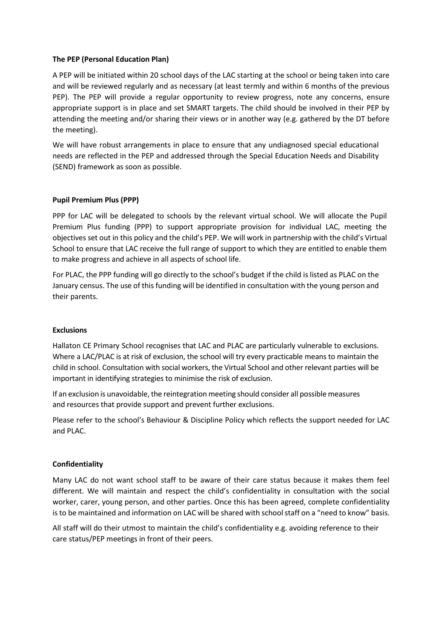#### **The PEP (Personal Education Plan)**

A PEP will be initiated within 20 school days of the LAC starting at the school or being taken into care and will be reviewed regularly and as necessary (at least termly and within 6 months of the previous PEP). The PEP will provide a regular opportunity to review progress, note any concerns, ensure appropriate support is in place and set SMART targets. The child should be involved in their PEP by attending the meeting and/or sharing their views or in another way (e.g. gathered by the DT before the meeting).

We will have robust arrangements in place to ensure that any undiagnosed special educational needs are reflected in the PEP and addressed through the Special Education Needs and Disability (SEND) framework as soon as possible.

## **Pupil Premium Plus (PPP)**

PPP for LAC will be delegated to schools by the relevant virtual school. We will allocate the Pupil Premium Plus funding (PPP) to support appropriate provision for individual LAC, meeting the objectives set out in this policy and the child's PEP. We will work in partnership with the child's Virtual School to ensure that LAC receive the full range of support to which they are entitled to enable them to make progress and achieve in all aspects of school life.

For PLAC, the PPP funding will go directly to the school's budget if the child is listed as PLAC on the January census. The use of this funding will be identified in consultation with the young person and their parents.

#### **Exclusions**

Hallaton CE Primary School recognises that LAC and PLAC are particularly vulnerable to exclusions. Where a LAC/PLAC is at risk of exclusion, the school will try every practicable means to maintain the child in school. Consultation with social workers, the Virtual School and other relevant parties will be important in identifying strategies to minimise the risk of exclusion.

If an exclusion is unavoidable, the reintegration meeting should consider all possible measures and resources that provide support and prevent further exclusions.

Please refer to the school's Behaviour & Discipline Policy which reflects the support needed for LAC and PLAC.

#### **Confidentiality**

Many LAC do not want school staff to be aware of their care status because it makes them feel different. We will maintain and respect the child's confidentiality in consultation with the social worker, carer, young person, and other parties. Once this has been agreed, complete confidentiality is to be maintained and information on LAC will be shared with school staff on a "need to know" basis.

All staff will do their utmost to maintain the child's confidentiality e.g. avoiding reference to their care status/PEP meetings in front of their peers.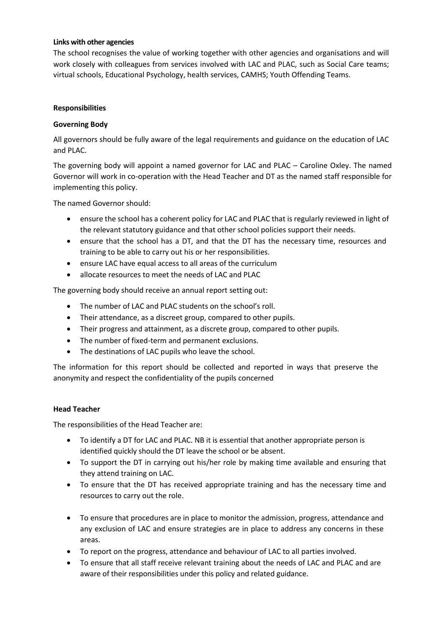#### **Links with other agencies**

The school recognises the value of working together with other agencies and organisations and will work closely with colleagues from services involved with LAC and PLAC, such as Social Care teams; virtual schools, Educational Psychology, health services, CAMHS; Youth Offending Teams.

#### **Responsibilities**

## **Governing Body**

All governors should be fully aware of the legal requirements and guidance on the education of LAC and PLAC.

The governing body will appoint a named governor for LAC and PLAC – Caroline Oxley. The named Governor will work in co-operation with the Head Teacher and DT as the named staff responsible for implementing this policy.

The named Governor should:

- ensure the school has a coherent policy for LAC and PLAC that is regularly reviewed in light of the relevant statutory guidance and that other school policies support their needs.
- ensure that the school has a DT, and that the DT has the necessary time, resources and training to be able to carry out his or her responsibilities.
- ensure LAC have equal access to all areas of the curriculum
- allocate resources to meet the needs of LAC and PLAC

The governing body should receive an annual report setting out:

- The number of LAC and PLAC students on the school's roll.
- Their attendance, as a discreet group, compared to other pupils.
- Their progress and attainment, as a discrete group, compared to other pupils.
- The number of fixed-term and permanent exclusions.
- The destinations of LAC pupils who leave the school.

The information for this report should be collected and reported in ways that preserve the anonymity and respect the confidentiality of the pupils concerned

#### **Head Teacher**

The responsibilities of the Head Teacher are:

- To identify a DT for LAC and PLAC. NB it is essential that another appropriate person is identified quickly should the DT leave the school or be absent.
- To support the DT in carrying out his/her role by making time available and ensuring that they attend training on LAC.
- To ensure that the DT has received appropriate training and has the necessary time and resources to carry out the role.
- To ensure that procedures are in place to monitor the admission, progress, attendance and any exclusion of LAC and ensure strategies are in place to address any concerns in these areas.
- To report on the progress, attendance and behaviour of LAC to all parties involved.
- To ensure that all staff receive relevant training about the needs of LAC and PLAC and are aware of their responsibilities under this policy and related guidance.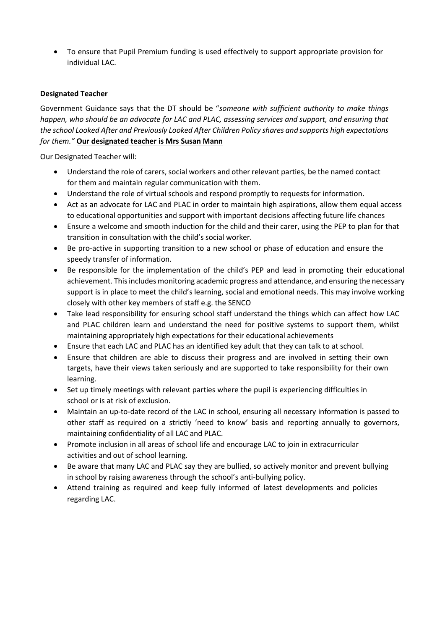To ensure that Pupil Premium funding is used effectively to support appropriate provision for individual LAC.

# **Designated Teacher**

Government Guidance says that the DT should be "*someone with sufficient authority to make things happen, who should be an advocate for LAC and PLAC, assessing services and support, and ensuring that the school Looked After and Previously Looked After Children Policy shares and supports high expectations for them."* **Our designated teacher is Mrs Susan Mann**

Our Designated Teacher will:

- Understand the role of carers, social workers and other relevant parties, be the named contact for them and maintain regular communication with them.
- Understand the role of virtual schools and respond promptly to requests for information.
- Act as an advocate for LAC and PLAC in order to maintain high aspirations, allow them equal access to educational opportunities and support with important decisions affecting future life chances
- Ensure a welcome and smooth induction for the child and their carer, using the PEP to plan for that transition in consultation with the child's social worker.
- Be pro-active in supporting transition to a new school or phase of education and ensure the speedy transfer of information.
- Be responsible for the implementation of the child's PEP and lead in promoting their educational achievement. This includes monitoring academic progress and attendance, and ensuring the necessary support is in place to meet the child's learning, social and emotional needs. This may involve working closely with other key members of staff e.g. the SENCO
- Take lead responsibility for ensuring school staff understand the things which can affect how LAC and PLAC children learn and understand the need for positive systems to support them, whilst maintaining appropriately high expectations for their educational achievements
- Ensure that each LAC and PLAC has an identified key adult that they can talk to at school.
- Ensure that children are able to discuss their progress and are involved in setting their own targets, have their views taken seriously and are supported to take responsibility for their own learning.
- Set up timely meetings with relevant parties where the pupil is experiencing difficulties in school or is at risk of exclusion.
- Maintain an up-to-date record of the LAC in school, ensuring all necessary information is passed to other staff as required on a strictly 'need to know' basis and reporting annually to governors, maintaining confidentiality of all LAC and PLAC.
- Promote inclusion in all areas of school life and encourage LAC to join in extracurricular activities and out of school learning.
- Be aware that many LAC and PLAC say they are bullied, so actively monitor and prevent bullying in school by raising awareness through the school's anti-bullying policy.
- Attend training as required and keep fully informed of latest developments and policies regarding LAC.